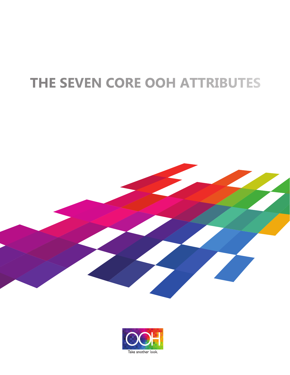# THE SEVEN CORE OOH ATTRIBUTES



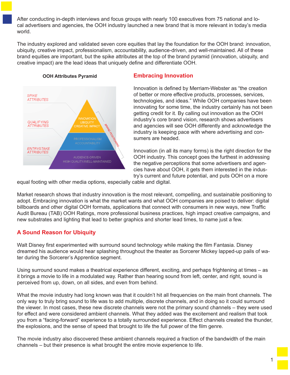After conducting in-depth interviews and focus groups with nearly 100 executives from 75 national and local advertisers and agencies, the OOH industry launched a new brand that is more relevant in today's media world.

The industry explored and validated seven core equities that lay the foundation for the OOH brand: innovation, ubiquity, creative impact, professionalism, accountability, audience-driven, and well-maintained. All of these brand equities are important, but the spike attributes at the top of the brand pyramid (innovation, ubiquity, and creative impact) are the lead ideas that uniquely define and differentiate OOH.



#### **Embracing Innovation**

Innovation is defined by Merriam-Webster as "the creation of better or more effective products, processes, services, technologies, and ideas." While OOH companies have been innovating for some time, the industry certainly has not been getting credit for it. By calling out innovation as the OOH industry's core brand vision, research shows advertisers and agencies will see OOH differently and acknowledge the industry is keeping pace with where advertising and consumers are headed.

Innovation (in all its many forms) is the right direction for the OOH industry. This concept goes the furthest in addressing the negative perceptions that some advertisers and agencies have about OOH, it gets them interested in the industry's current and future potential, and puts OOH on a more

equal footing with other media options, especially cable and digital.

Market research shows that industry innovation is the most relevant, compelling, and sustainable positioning to adopt. Embracing innovation is what the market wants and what OOH companies are poised to deliver: digital billboards and other digital OOH formats, applications that connect with consumers in new ways, new Traffic Audit Bureau (TAB) OOH Ratings, more professional business practices, high impact creative campaigns, and new substrates and lighting that lead to better graphics and shorter lead times, to name just a few.

## **A Sound Reason for Ubiquity**

Walt Disney first experimented with surround sound technology while making the film Fantasia. Disney dreamed his audience would hear splashing throughout the theater as Sorcerer Mickey lapped-up pails of water during the Sorcerer's Apprentice segment.

Using surround sound makes a theatrical experience different, exciting, and perhaps frightening at times – as it brings a movie to life in a modulated way. Rather than hearing sound from left, center, and right, sound is perceived from up, down, on all sides, and even from behind.

What the movie industry had long known was that it couldn't hit all frequencies on the main front channels. The only way to truly bring sound to life was to add multiple, discrete channels, and in doing so it could surround the viewer. In most cases, these new discrete channels were not the primary sound channels – they were used for effect and were considered ambient channels. What they added was the excitement and realism that took you from a "facing-forward" experience to a totally surrounded experience. Effect channels created the thunder, the explosions, and the sense of speed that brought to life the full power of the film genre.

The movie industry also discovered these ambient channels required a fraction of the bandwidth of the main channels – but their presence is what brought the entire movie experience to life.

1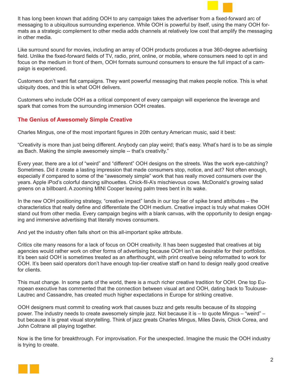

It has long been known that adding OOH to any campaign takes the advertiser from a fixed-forward arc of messaging to a ubiquitous surrounding experience. While OOH is powerful by itself, using the many OOH formats as a strategic complement to other media adds channels at relatively low cost that amplify the messaging in other media.

Like surround sound for movies, including an array of OOH products produces a true 360-degree advertising field. Unlike the fixed-forward fields of TV, radio, print, online, or mobile, where consumers need to opt in and focus on the medium in front of them, OOH formats surround consumers to ensure the full impact of a campaign is experienced.

Customers don't want flat campaigns. They want powerful messaging that makes people notice. This is what ubiquity does, and this is what OOH delivers.

Customers who include OOH as a critical component of every campaign will experience the leverage and spark that comes from the surrounding immersion OOH creates.

#### **The Genius of Awesomely Simple Creative**

Charles Mingus, one of the most important figures in 20th century American music, said it best:

"Creativity is more than just being different. Anybody can play weird; that's easy. What's hard is to be as simple as Bach. Making the simple awesomely simple -- that's creativity."

Every year, there are a lot of "weird" and "different" OOH designs on the streets. Was the work eye-catching? Sometimes. Did it create a lasting impression that made consumers stop, notice, and act? Not often enough, especially if compared to some of the "awesomely simple" work that has really moved consumers over the years. Apple iPod's colorful dancing silhouettes. Chick-fil-A's mischievous cows. McDonald's growing salad greens on a billboard. A zooming MINI Cooper leaving palm trees bent in its wake.

In the new OOH positioning strategy, "creative impact" lands in our top tier of spike brand attributes – the characteristics that really define and differentiate the OOH medium. Creative impact is truly what makes OOH stand out from other media. Every campaign begins with a blank canvas, with the opportunity to design engaging and immersive advertising that literally moves consumers.

And yet the industry often falls short on this all-important spike attribute.

Critics cite many reasons for a lack of focus on OOH creativity. It has been suggested that creatives at big agencies would rather work on other forms of advertising because OOH isn't as desirable for their portfolios. It's been said OOH is sometimes treated as an afterthought, with print creative being reformatted to work for OOH. It's been said operators don't have enough top-tier creative staff on hand to design really good creative for clients.

This must change. In some parts of the world, there is a much richer creative tradition for OOH. One top European executive has commented that the connection between visual art and OOH, dating back to Toulouse-Lautrec and Cassandre, has created much higher expectations in Europe for striking creative.

OOH designers must commit to creating work that causes buzz and gets results because of its stopping power. The industry needs to create awesomely simple jazz. Not because it is – to quote Mingus – "weird" – but because it is great visual storytelling. Think of jazz greats Charles Mingus, Miles Davis, Chick Corea, and John Coltrane all playing together.

Now is the time for breakthrough. For improvisation. For the unexpected. Imagine the music the OOH industry is trying to create.

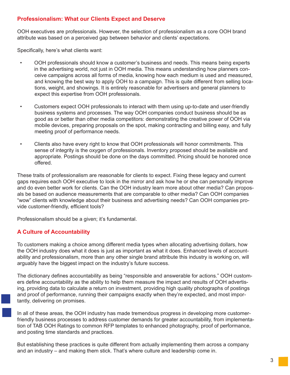### **Professionalism: What our Clients Expect and Deserve**

OOH executives are professionals. However, the selection of professionalism as a core OOH brand attribute was based on a perceived gap between behavior and clients' expectations.

Specifically, here's what clients want:

- OOH professionals should know a customer's business and needs. This means being experts in the advertising world, not just in OOH media. This means understanding how planners con ceive campaigns across all forms of media, knowing how each medium is used and measured, and knowing the best way to apply OOH to a campaign. This is quite different from selling loca tions, weight, and showings. It is entirely reasonable for advertisers and general planners to expect this expertise from OOH professionals.
- Customers expect OOH professionals to interact with them using up-to-date and user-friendly business systems and processes. The way OOH companies conduct business should be as good as or better than other media competitors: demonstrating the creative power of OOH via mobile devices, preparing proposals on the spot, making contracting and billing easy, and fully meeting proof of performance needs.
- Clients also have every right to know that OOH professionals will honor commitments. This sense of integrity is the oxygen of professionals. Inventory proposed should be available and appropriate. Postings should be done on the days committed. Pricing should be honored once offered.

These traits of professionalism are reasonable for clients to expect. Fixing these legacy and current gaps requires each OOH executive to look in the mirror and ask how he or she can personally improve and do even better work for clients. Can the OOH industry learn more about other media? Can proposals be based on audience measurements that are comparable to other media? Can OOH companies "wow" clients with knowledge about their business and advertising needs? Can OOH companies provide customer-friendly, efficient tools?

Professionalism should be a given; it's fundamental.

## **A Culture of Accountability**

To customers making a choice among different media types when allocating advertising dollars, how the OOH industry does what it does is just as important as what it does. Enhanced levels of accountability and professionalism, more than any other single brand attribute this industry is working on, will arguably have the biggest impact on the industry's future success.

The dictionary defines accountability as being "responsible and answerable for actions." OOH customers define accountability as the ability to help them measure the impact and results of OOH advertising, providing data to calculate a return on investment, providing high quality photographs of postings and proof of performance, running their campaigns exactly when they're expected, and most importantly, delivering on promises.

In all of these areas, the OOH industry has made tremendous progress in developing more customerfriendly business processes to address customer demands for greater accountability, from implementation of TAB OOH Ratings to common RFP templates to enhanced photography, proof of performance, and posting time standards and practices.

But establishing these practices is quite different from actually implementing them across a company and an industry – and making them stick. That's where culture and leadership come in.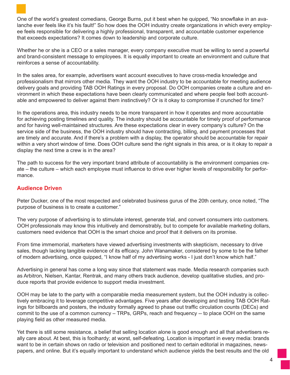One of the world's greatest comedians, George Burns, put it best when he quipped, "No snowflake in an avalanche ever feels like it's his fault!" So how does the OOH industry create organizations in which every employee feels responsible for delivering a highly professional, transparent, and accountable customer experience that exceeds expectations? It comes down to leadership and corporate culture.

Whether he or she is a CEO or a sales manager, every company executive must be willing to send a powerful and brand-consistent message to employees. It is equally important to create an environment and culture that reinforces a sense of accountability.

In the sales area, for example, advertisers want account executives to have cross-media knowledge and professionalism that mirrors other media. They want the OOH industry to be accountable for meeting audience delivery goals and providing TAB OOH Ratings in every proposal. Do OOH companies create a culture and environment in which these expectations have been clearly communicated and where people feel both accountable and empowered to deliver against them instinctively? Or is it okay to compromise if crunched for time?

In the operations area, this industry needs to be more transparent in how it operates and more accountable for achieving posting timelines and quality. The industry should be accountable for timely proof of performance and for having well-maintained structures. Are these expectations clear in every company's culture? On the service side of the business, the OOH industry should have contracting, billing, and payment processes that are timely and accurate. And if there's a problem with a display, the operator should be accountable for repair within a very short window of time. Does OOH culture send the right signals in this area, or is it okay to repair a display the next time a crew is in the area?

The path to success for the very important brand attribute of accountability is the environment companies create – the culture – which each employee must influence to drive ever higher levels of responsibility for performance.

#### **Audience Driven**

Peter Ducker, one of the most respected and celebrated business gurus of the 20th century, once noted, "The purpose of business is to create a customer."

The very purpose of advertising is to stimulate interest, generate trial, and convert consumers into customers. OOH professionals may know this intuitively and demonstrably, but to compete for available marketing dollars, customers need evidence that OOH is the smart choice and proof that it delivers on its promise.

From time immemorial, marketers have viewed advertising investments with skepticism, necessary to drive sales, though lacking tangible evidence of its efficacy. John Wanamaker, considered by some to be the father of modern advertising, once quipped, "I know half of my advertising works - I just don't know which half."

Advertising in general has come a long way since that statement was made. Media research companies such as Arbitron, Nielsen, Kantar, Rentrak, and many others track audience, develop qualitative studies, and produce reports that provide evidence to support media investment.

OOH may be late to the party with a comparable media measurement system, but the OOH industry is collectively embracing it to leverage competitive advantages. Five years after developing and testing TAB OOH Ratings for billboards and posters, the industry formally agreed to phase out traffic circulation counts (DECs) and commit to the use of a common currency – TRPs, GRPs, reach and frequency -- to place OOH on the same playing field as other measured media.

Yet there is still some resistance, a belief that selling location alone is good enough and all that advertisers really care about. At best, this is foolhardy; at worst, self-defeating. Location is important in every media: brands want to be in certain shows on radio or television and positioned next to certain editorial in magazines, newspapers, and online. But it's equally important to understand which audience yields the best results and the old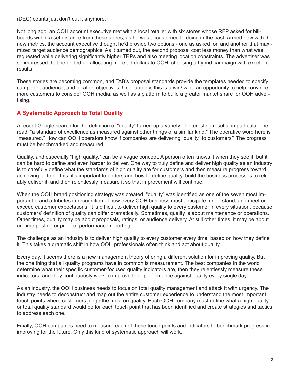(DEC) counts just don't cut it anymore.

Not long ago, an OOH account executive met with a local retailer with six stores whose RFP asked for billboards within a set distance from these stores, as he was accustomed to doing in the past. Armed now with the new metrics, the account executive thought he'd provide two options - one as asked for, and another that maximized target audience demographics. As it turned out, the second proposal cost less money than what was requested while delivering significantly higher TRPs and also meeting location constraints. The advertiser was so impressed that he ended up allocating more ad dollars to OOH, choosing a hybrid campaign with excellent results.

These stories are becoming common, and TAB's proposal standards provide the templates needed to specify campaign, audience, and location objectives. Undoubtedly, this is a win/ win - an opportunity to help convince more customers to consider OOH media, as well as a platform to build a greater market share for OOH advertising.

## **A Systematic Approach to Total Quality**

A recent Google search for the definition of "quality" turned up a variety of interesting results; in particular one read, "a standard of excellence as measured against other things of a similar kind." The operative word here is "measured." How can OOH operators know if companies are delivering "quality" to customers? The progress must be benchmarked and measured.

Quality, and especially "high quality," can be a vague concept. A person often knows it when they see it, but it can be hard to define and even harder to deliver. One way to truly define and deliver high quality as an industry is to carefully define what the standards of high quality are for customers and then measure progress toward achieving it. To do this, it's important to understand how to define quality, build the business processes to reliably deliver it, and then relentlessly measure it so that improvement will continue.

When the OOH brand positioning strategy was created, "quality" was identified as one of the seven most important brand attributes in recognition of how every OOH business must anticipate, understand, and meet or exceed customer expectations. It is difficult to deliver high quality to every customer in every situation, because customers' definition of quality can differ dramatically. Sometimes, quality is about maintenance or operations. Other times, quality may be about proposals, ratings, or audience delivery. At still other times, it may be about on-time posting or proof of performance reporting.

The challenge as an industry is to deliver high quality to every customer every time, based on how they define it. This takes a dramatic shift in how OOH professionals often think and act about quality.

Every day, it seems there is a new management theory offering a different solution for improving quality. But the one thing that all quality programs have in common is measurement. The best companies in the world determine what their specific customer-focused quality indicators are, then they relentlessly measure these indicators, and they continuously work to improve their performance against quality every single day.

As an industry, the OOH business needs to focus on total quality management and attack it with urgency. The industry needs to deconstruct and map out the entire customer experience to understand the most important touch points where customers judge the most on quality. Each OOH company must define what a high quality or total quality standard would be for each touch point that has been identified and create strategies and tactics to address each one.

Finally, OOH companies need to measure each of these touch points and indicators to benchmark progress in improving for the future. Only this kind of systematic approach will work.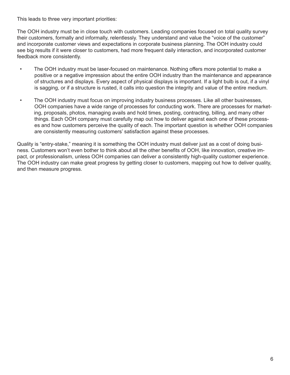This leads to three very important priorities:

The OOH industry must be in close touch with customers. Leading companies focused on total quality survey their customers, formally and informally, relentlessly. They understand and value the "voice of the customer" and incorporate customer views and expectations in corporate business planning. The OOH industry could see big results if it were closer to customers, had more frequent daily interaction, and incorporated customer feedback more consistently.

- The OOH industry must be laser-focused on maintenance. Nothing offers more potential to make a positive or a negative impression about the entire OOH industry than the maintenance and appearance of structures and displays. Every aspect of physical displays is important. If a light bulb is out, if a vinyl is sagging, or if a structure is rusted, it calls into question the integrity and value of the entire medium.
- The OOH industry must focus on improving industry business processes. Like all other businesses, OOH companies have a wide range of processes for conducting work. There are processes for marketing, proposals, photos, managing avails and hold times, posting, contracting, billing, and many other things. Each OOH company must carefully map out how to deliver against each one of these process es and how customers perceive the quality of each. The important question is whether OOH companies are consistently measuring customers' satisfaction against these processes.

Quality is "entry-stake," meaning it is something the OOH industry must deliver just as a cost of doing business. Customers won't even bother to think about all the other benefits of OOH, like innovation, creative impact, or professionalism, unless OOH companies can deliver a consistently high-quality customer experience. The OOH industry can make great progress by getting closer to customers, mapping out how to deliver quality, and then measure progress.